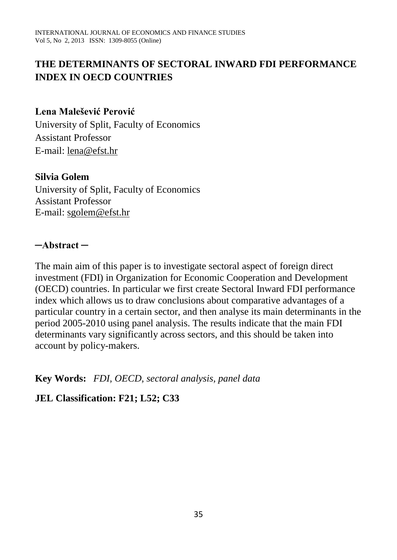# **THE DETERMINANTS OF SECTORAL INWARD FDI PERFORMANCE INDEX IN OECD COUNTRIES**

## **Lena Malešević Perović**

University of Split, Faculty of Economics Assistant Professor E-mail: [lena@efst.hr](mailto:lena@efst.hr)

#### **Silvia Golem**

University of Split, Faculty of Economics Assistant Professor E-mail: [sgolem@efst.hr](mailto:sgolem@efst.hr)

#### **─Abstract ─**

The main aim of this paper is to investigate sectoral aspect of foreign direct investment (FDI) in Organization for Economic Cooperation and Development (OECD) countries. In particular we first create Sectoral Inward FDI performance index which allows us to draw conclusions about comparative advantages of a particular country in a certain sector, and then analyse its main determinants in the period 2005-2010 using panel analysis. The results indicate that the main FDI determinants vary significantly across sectors, and this should be taken into account by policy-makers.

**Key Words:** *FDI, OECD, sectoral analysis, panel data* 

## **JEL Classification: F21; L52; C33**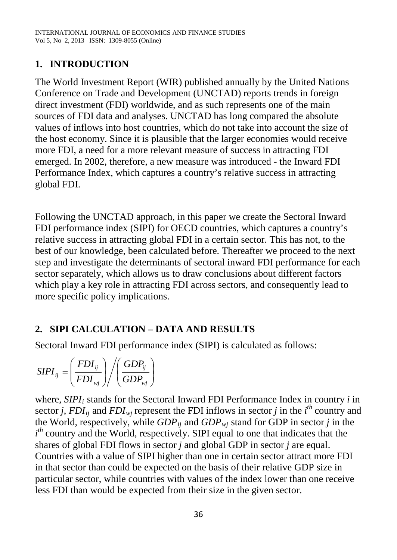# **1. INTRODUCTION**

The World Investment Report (WIR) published annually by the United Nations Conference on Trade and Development (UNCTAD) reports trends in foreign direct investment (FDI) worldwide, and as such represents one of the main sources of FDI data and analyses. UNCTAD has long compared the absolute values of inflows into host countries, which do not take into account the size of the host economy. Since it is plausible that the larger economies would receive more FDI, a need for a more relevant measure of success in attracting FDI emerged. In 2002, therefore, a new measure was introduced - the Inward FDI Performance Index, which captures a country's relative success in attracting global FDI.

Following the UNCTAD approach, in this paper we create the Sectoral Inward FDI performance index (SIPI) for OECD countries, which captures a country's relative success in attracting global FDI in a certain sector. This has not, to the best of our knowledge, been calculated before. Thereafter we proceed to the next step and investigate the determinants of sectoral inward FDI performance for each sector separately, which allows us to draw conclusions about different factors which play a key role in attracting FDI across sectors, and consequently lead to more specific policy implications.

# **2. SIPI CALCULATION – DATA AND RESULTS**

Sectoral Inward FDI performance index (SIPI) is calculated as follows:

$$
SIPI_{ij} = \left(\frac{FDI_{ij}}{FDI_{wj}}\right) / \left(\frac{GDP_{ij}}{GDP_{wj}}\right)
$$

where, *SIPI<sub>i</sub>* stands for the Sectoral Inward FDI Performance Index in country *i* in sector *j*,  $FDI_{ij}$  and  $FDI_{mj}$  represent the FDI inflows in sector *j* in the *i*<sup>th</sup> country and the World, respectively, while  $GDP_{ij}$  and  $GDP_{wi}$  stand for GDP in sector *j* in the  $i<sup>th</sup>$  country and the World, respectively. SIPI equal to one that indicates that the shares of global FDI flows in sector *j* and global GDP in sector *j* are equal. Countries with a value of SIPI higher than one in certain sector attract more FDI in that sector than could be expected on the basis of their relative GDP size in particular sector, while countries with values of the index lower than one receive less FDI than would be expected from their size in the given sector.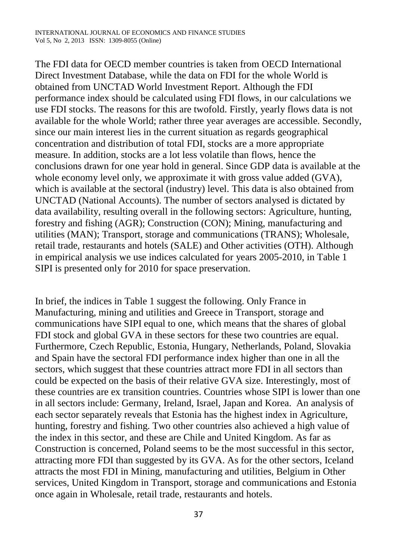The FDI data for OECD member countries is taken from OECD International Direct Investment Database, while the data on FDI for the whole World is obtained from UNCTAD World Investment Report. Although the FDI performance index should be calculated using FDI flows, in our calculations we use FDI stocks. The reasons for this are twofold. Firstly, yearly flows data is not available for the whole World; rather three year averages are accessible. Secondly, since our main interest lies in the current situation as regards geographical concentration and distribution of total FDI, stocks are a more appropriate measure. In addition, stocks are a lot less volatile than flows, hence the conclusions drawn for one year hold in general. Since GDP data is available at the whole economy level only, we approximate it with gross value added (GVA), which is available at the sectoral (industry) level. This data is also obtained from UNCTAD (National Accounts). The number of sectors analysed is dictated by data availability, resulting overall in the following sectors: Agriculture, hunting, forestry and fishing (AGR); Construction (CON); Mining, manufacturing and utilities (MAN); Transport, storage and communications (TRANS); Wholesale, retail trade, restaurants and hotels (SALE) and Other activities (OTH). Although in empirical analysis we use indices calculated for years 2005-2010, in Table 1 SIPI is presented only for 2010 for space preservation.

In brief, the indices in Table 1 suggest the following. Only France in Manufacturing, mining and utilities and Greece in Transport, storage and communications have SIPI equal to one, which means that the shares of global FDI stock and global GVA in these sectors for these two countries are equal. Furthermore, Czech Republic, Estonia, Hungary, Netherlands, Poland, Slovakia and Spain have the sectoral FDI performance index higher than one in all the sectors, which suggest that these countries attract more FDI in all sectors than could be expected on the basis of their relative GVA size. Interestingly, most of these countries are ex transition countries. Countries whose SIPI is lower than one in all sectors include: Germany, Ireland, Israel, Japan and Korea. An analysis of each sector separately reveals that Estonia has the highest index in Agriculture, hunting, forestry and fishing. Two other countries also achieved a high value of the index in this sector, and these are Chile and United Kingdom. As far as Construction is concerned, Poland seems to be the most successful in this sector, attracting more FDI than suggested by its GVA. As for the other sectors, Iceland attracts the most FDI in Mining, manufacturing and utilities, Belgium in Other services, United Kingdom in Transport, storage and communications and Estonia once again in Wholesale, retail trade, restaurants and hotels.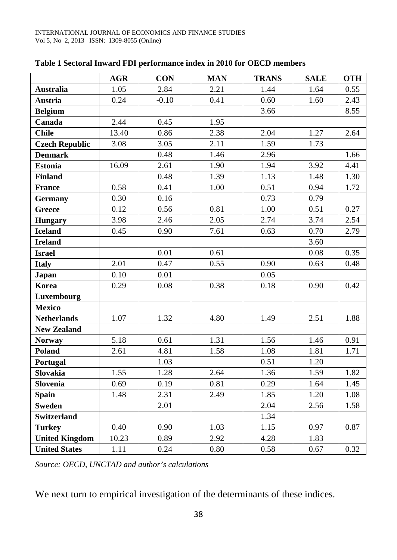|                       | <b>AGR</b> | <b>CON</b> | <b>MAN</b> | <b>TRANS</b> | <b>SALE</b> | <b>OTH</b> |
|-----------------------|------------|------------|------------|--------------|-------------|------------|
| <b>Australia</b>      | 1.05       | 2.84       | 2.21       | 1.44         | 1.64        | 0.55       |
| <b>Austria</b>        | 0.24       | $-0.10$    | 0.41       | 0.60         | 1.60        | 2.43       |
| <b>Belgium</b>        |            |            |            | 3.66         |             | 8.55       |
| Canada                | 2.44       | 0.45       | 1.95       |              |             |            |
| <b>Chile</b>          | 13.40      | 0.86       | 2.38       | 2.04         | 1.27        | 2.64       |
| <b>Czech Republic</b> | 3.08       | 3.05       | 2.11       | 1.59         | 1.73        |            |
| <b>Denmark</b>        |            | 0.48       | 1.46       | 2.96         |             | 1.66       |
| <b>Estonia</b>        | 16.09      | 2.61       | 1.90       | 1.94         | 3.92        | 4.41       |
| <b>Finland</b>        |            | 0.48       | 1.39       | 1.13         | 1.48        | 1.30       |
| <b>France</b>         | 0.58       | 0.41       | 1.00       | 0.51         | 0.94        | 1.72       |
| <b>Germany</b>        | 0.30       | 0.16       |            | 0.73         | 0.79        |            |
| <b>Greece</b>         | 0.12       | 0.56       | 0.81       | 1.00         | 0.51        | 0.27       |
| <b>Hungary</b>        | 3.98       | 2.46       | 2.05       | 2.74         | 3.74        | 2.54       |
| <b>Iceland</b>        | 0.45       | 0.90       | 7.61       | 0.63         | 0.70        | 2.79       |
| <b>Ireland</b>        |            |            |            |              | 3.60        |            |
| <b>Israel</b>         |            | 0.01       | 0.61       |              | 0.08        | 0.35       |
| <b>Italy</b>          | 2.01       | 0.47       | 0.55       | 0.90         | 0.63        | 0.48       |
| Japan                 | 0.10       | 0.01       |            | 0.05         |             |            |
| Korea                 | 0.29       | 0.08       | 0.38       | 0.18         | 0.90        | 0.42       |
| Luxembourg            |            |            |            |              |             |            |
| <b>Mexico</b>         |            |            |            |              |             |            |
| <b>Netherlands</b>    | 1.07       | 1.32       | 4.80       | 1.49         | 2.51        | 1.88       |
| <b>New Zealand</b>    |            |            |            |              |             |            |
| <b>Norway</b>         | 5.18       | 0.61       | 1.31       | 1.56         | 1.46        | 0.91       |
| Poland                | 2.61       | 4.81       | 1.58       | 1.08         | 1.81        | 1.71       |
| Portugal              |            | 1.03       |            | 0.51         | 1.20        |            |
| <b>Slovakia</b>       | 1.55       | 1.28       | 2.64       | 1.36         | 1.59        | 1.82       |
| Slovenia              | 0.69       | 0.19       | 0.81       | 0.29         | 1.64        | 1.45       |
| <b>Spain</b>          | 1.48       | 2.31       | 2.49       | 1.85         | 1.20        | 1.08       |
| <b>Sweden</b>         |            | 2.01       |            | 2.04         | 2.56        | 1.58       |
| <b>Switzerland</b>    |            |            |            | 1.34         |             |            |
| <b>Turkey</b>         | 0.40       | 0.90       | 1.03       | 1.15         | 0.97        | 0.87       |
| <b>United Kingdom</b> | 10.23      | 0.89       | 2.92       | 4.28         | 1.83        |            |
| <b>United States</b>  | 1.11       | 0.24       | 0.80       | 0.58         | 0.67        | 0.32       |

#### **Table 1 Sectoral Inward FDI performance index in 2010 for OECD members**

*Source: OECD, UNCTAD and author's calculations*

We next turn to empirical investigation of the determinants of these indices.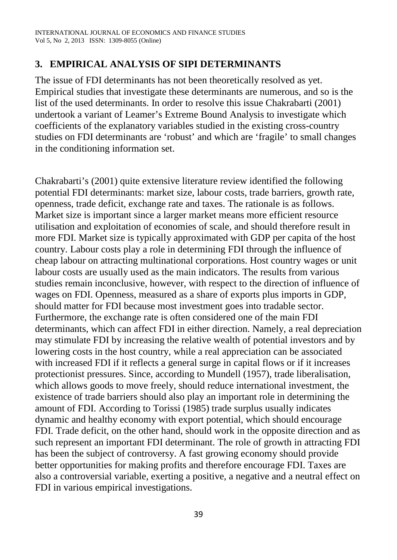## **3. EMPIRICAL ANALYSIS OF SIPI DETERMINANTS**

The issue of FDI determinants has not been theoretically resolved as yet. Empirical studies that investigate these determinants are numerous, and so is the list of the used determinants. In order to resolve this issue Chakrabarti (2001) undertook a variant of Leamer's Extreme Bound Analysis to investigate which coefficients of the explanatory variables studied in the existing cross-country studies on FDI determinants are 'robust' and which are 'fragile' to small changes in the conditioning information set.

Chakrabarti's (2001) quite extensive literature review identified the following potential FDI determinants: market size, labour costs, trade barriers, growth rate, openness, trade deficit, exchange rate and taxes. The rationale is as follows. Market size is important since a larger market means more efficient resource utilisation and exploitation of economies of scale, and should therefore result in more FDI. Market size is typically approximated with GDP per capita of the host country. Labour costs play a role in determining FDI through the influence of cheap labour on attracting multinational corporations. Host country wages or unit labour costs are usually used as the main indicators. The results from various studies remain inconclusive, however, with respect to the direction of influence of wages on FDI. Openness, measured as a share of exports plus imports in GDP, should matter for FDI because most investment goes into tradable sector. Furthermore, the exchange rate is often considered one of the main FDI determinants, which can affect FDI in either direction. Namely, a real depreciation may stimulate FDI by increasing the relative wealth of potential investors and by lowering costs in the host country, while a real appreciation can be associated with increased FDI if it reflects a general surge in capital flows or if it increases protectionist pressures. Since, according to Mundell (1957), trade liberalisation, which allows goods to move freely, should reduce international investment, the existence of trade barriers should also play an important role in determining the amount of FDI. According to Torissi (1985) trade surplus usually indicates dynamic and healthy economy with export potential, which should encourage FDI. Trade deficit, on the other hand, should work in the opposite direction and as such represent an important FDI determinant. The role of growth in attracting FDI has been the subject of controversy. A fast growing economy should provide better opportunities for making profits and therefore encourage FDI. Taxes are also a controversial variable, exerting a positive, a negative and a neutral effect on FDI in various empirical investigations.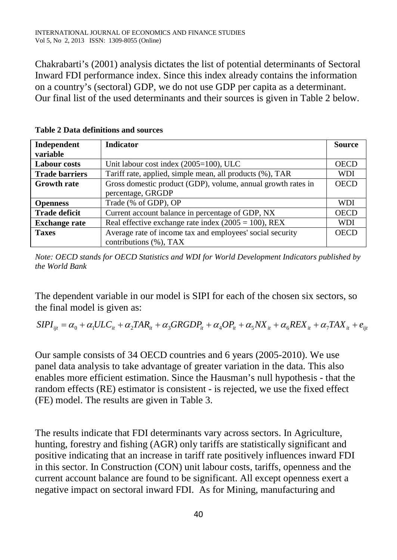Chakrabarti's (2001) analysis dictates the list of potential determinants of Sectoral Inward FDI performance index. Since this index already contains the information on a country's (sectoral) GDP, we do not use GDP per capita as a determinant. Our final list of the used determinants and their sources is given in Table 2 below.

| Independent           | <b>Indicator</b>                                             | <b>Source</b> |
|-----------------------|--------------------------------------------------------------|---------------|
| variable              |                                                              |               |
| <b>Labour costs</b>   | Unit labour cost index (2005=100), ULC                       |               |
| <b>Trade barriers</b> | Tariff rate, applied, simple mean, all products (%), TAR     | <b>WDI</b>    |
| <b>Growth rate</b>    | Gross domestic product (GDP), volume, annual growth rates in | <b>OECD</b>   |
|                       | percentage, GRGDP                                            |               |
| <b>Openness</b>       | Trade (% of GDP), OP                                         | <b>WDI</b>    |
| <b>Trade deficit</b>  | Current account balance in percentage of GDP, NX             | <b>OECD</b>   |
| <b>Exchange rate</b>  | Real effective exchange rate index $(2005 = 100)$ , REX      | <b>WDI</b>    |
| <b>Taxes</b>          | Average rate of income tax and employees' social security    | <b>OECD</b>   |
|                       | contributions (%), TAX                                       |               |

**Table 2 Data definitions and sources** 

*Note: OECD stands for OECD Statistics and WDI for World Development Indicators published by the World Bank*

The dependent variable in our model is SIPI for each of the chosen six sectors, so the final model is given as:

 $SIPI_{ii} = \alpha_0 + \alpha_1 ULC_{ii} + \alpha_2 TAR_{ii} + \alpha_3 GRGDP_{ii} + \alpha_4 OP_{ii} + \alpha_5 NK_{ii} + \alpha_6 REX_{ii} + \alpha_7 TAX_{ii} + e_{iii}$ 

Our sample consists of 34 OECD countries and 6 years (2005-2010). We use panel data analysis to take advantage of greater variation in the data. This also enables more efficient estimation. Since the Hausman's null hypothesis - that the random effects (RE) estimator is consistent - is rejected, we use the fixed effect (FE) model. The results are given in Table 3.

The results indicate that FDI determinants vary across sectors. In Agriculture, hunting, forestry and fishing (AGR) only tariffs are statistically significant and positive indicating that an increase in tariff rate positively influences inward FDI in this sector. In Construction (CON) unit labour costs, tariffs, openness and the current account balance are found to be significant. All except openness exert a negative impact on sectoral inward FDI. As for Mining, manufacturing and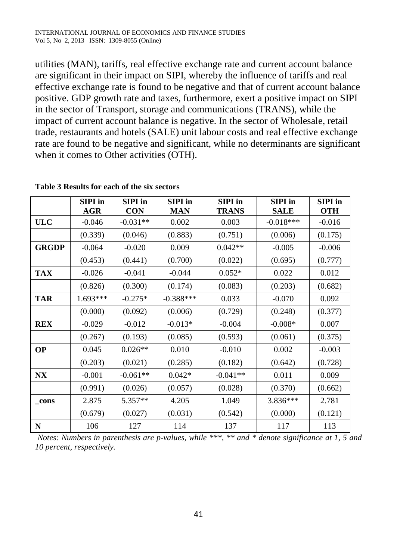utilities (MAN), tariffs, real effective exchange rate and current account balance are significant in their impact on SIPI, whereby the influence of tariffs and real effective exchange rate is found to be negative and that of current account balance positive. GDP growth rate and taxes, furthermore, exert a positive impact on SIPI in the sector of Transport, storage and communications (TRANS), while the impact of current account balance is negative. In the sector of Wholesale, retail trade, restaurants and hotels (SALE) unit labour costs and real effective exchange rate are found to be negative and significant, while no determinants are significant when it comes to Other activities (OTH).

|              | <b>SIPI</b> in | <b>SIPI</b> in | <b>SIPI</b> in | <b>SIPI</b> in | <b>SIPI</b> in | <b>SIPI</b> in |
|--------------|----------------|----------------|----------------|----------------|----------------|----------------|
|              | <b>AGR</b>     | <b>CON</b>     | <b>MAN</b>     | <b>TRANS</b>   | <b>SALE</b>    | <b>OTH</b>     |
| <b>ULC</b>   | $-0.046$       | $-0.031**$     | 0.002          | 0.003          | $-0.018***$    | $-0.016$       |
|              | (0.339)        | (0.046)        | (0.883)        | (0.751)        | (0.006)        | (0.175)        |
| <b>GRGDP</b> | $-0.064$       | $-0.020$       | 0.009          | $0.042**$      | $-0.005$       | $-0.006$       |
|              | (0.453)        | (0.441)        | (0.700)        | (0.022)        | (0.695)        | (0.777)        |
| <b>TAX</b>   | $-0.026$       | $-0.041$       | $-0.044$       | $0.052*$       | 0.022          | 0.012          |
|              | (0.826)        | (0.300)        | (0.174)        | (0.083)        | (0.203)        | (0.682)        |
| <b>TAR</b>   | 1.693***       | $-0.275*$      | $-0.388***$    | 0.033          | $-0.070$       | 0.092          |
|              | (0.000)        | (0.092)        | (0.006)        | (0.729)        | (0.248)        | (0.377)        |
| <b>REX</b>   | $-0.029$       | $-0.012$       | $-0.013*$      | $-0.004$       | $-0.008*$      | 0.007          |
|              | (0.267)        | (0.193)        | (0.085)        | (0.593)        | (0.061)        | (0.375)        |
| <b>OP</b>    | 0.045          | $0.026**$      | 0.010          | $-0.010$       | 0.002          | $-0.003$       |
|              | (0.203)        | (0.021)        | (0.285)        | (0.182)        | (0.642)        | (0.728)        |
| N X          | $-0.001$       | $-0.061**$     | $0.042*$       | $-0.041**$     | 0.011          | 0.009          |
|              | (0.991)        | (0.026)        | (0.057)        | (0.028)        | (0.370)        | (0.662)        |
| cons         | 2.875          | 5.357**        | 4.205          | 1.049          | 3.836***       | 2.781          |
|              | (0.679)        | (0.027)        | (0.031)        | (0.542)        | (0.000)        | (0.121)        |
| ${\bf N}$    | 106            | 127            | 114            | 137            | 117            | 113            |

**Table 3 Results for each of the six sectors**

*Notes: Numbers in parenthesis are p-values, while \*\*\*, \*\* and \* denote significance at 1, 5 and 10 percent, respectively.*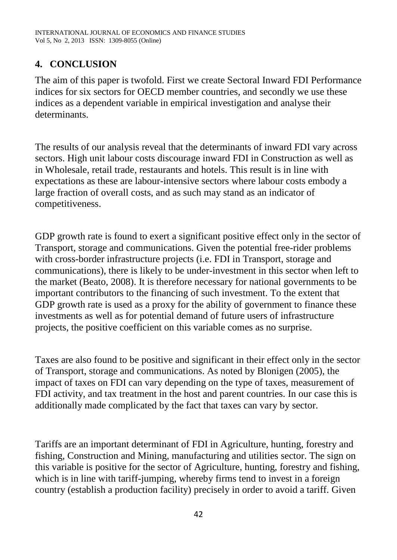## **4. CONCLUSION**

The aim of this paper is twofold. First we create Sectoral Inward FDI Performance indices for six sectors for OECD member countries, and secondly we use these indices as a dependent variable in empirical investigation and analyse their determinants.

The results of our analysis reveal that the determinants of inward FDI vary across sectors. High unit labour costs discourage inward FDI in Construction as well as in Wholesale, retail trade, restaurants and hotels. This result is in line with expectations as these are labour-intensive sectors where labour costs embody a large fraction of overall costs, and as such may stand as an indicator of competitiveness.

GDP growth rate is found to exert a significant positive effect only in the sector of Transport, storage and communications. Given the potential free-rider problems with cross-border infrastructure projects (i.e. FDI in Transport, storage and communications), there is likely to be under-investment in this sector when left to the market (Beato, 2008). It is therefore necessary for national governments to be important contributors to the financing of such investment. To the extent that GDP growth rate is used as a proxy for the ability of government to finance these investments as well as for potential demand of future users of infrastructure projects, the positive coefficient on this variable comes as no surprise.

Taxes are also found to be positive and significant in their effect only in the sector of Transport, storage and communications. As noted by Blonigen (2005), the impact of taxes on FDI can vary depending on the type of taxes, measurement of FDI activity, and tax treatment in the host and parent countries. In our case this is additionally made complicated by the fact that taxes can vary by sector.

Tariffs are an important determinant of FDI in Agriculture, hunting, forestry and fishing, Construction and Mining, manufacturing and utilities sector. The sign on this variable is positive for the sector of Agriculture, hunting, forestry and fishing, which is in line with tariff-jumping, whereby firms tend to invest in a foreign country (establish a production facility) precisely in order to avoid a tariff. Given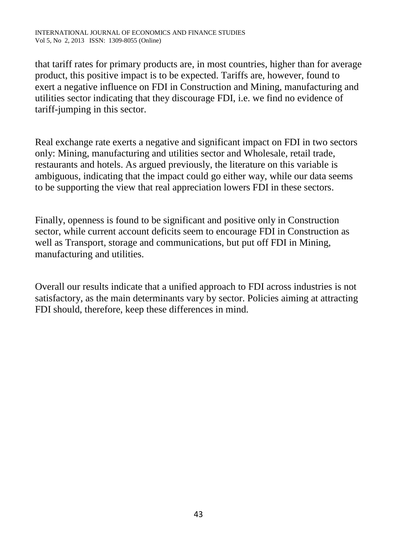that tariff rates for primary products are, in most countries, higher than for average product, this positive impact is to be expected. Tariffs are, however, found to exert a negative influence on FDI in Construction and Mining, manufacturing and utilities sector indicating that they discourage FDI, i.e. we find no evidence of tariff-jumping in this sector.

Real exchange rate exerts a negative and significant impact on FDI in two sectors only: Mining, manufacturing and utilities sector and Wholesale, retail trade, restaurants and hotels. As argued previously, the literature on this variable is ambiguous, indicating that the impact could go either way, while our data seems to be supporting the view that real appreciation lowers FDI in these sectors.

Finally, openness is found to be significant and positive only in Construction sector, while current account deficits seem to encourage FDI in Construction as well as Transport, storage and communications, but put off FDI in Mining, manufacturing and utilities.

Overall our results indicate that a unified approach to FDI across industries is not satisfactory, as the main determinants vary by sector. Policies aiming at attracting FDI should, therefore, keep these differences in mind.